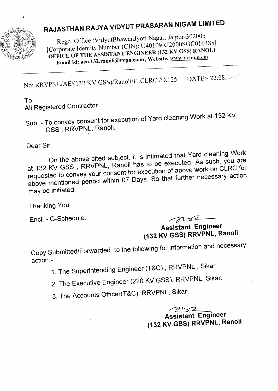

## **RAJASTHAN RAJYA VIDYUT PRASARAN NIGAM LIMITED**

Regd. Office :VidyutBhawanJyoti Nagar, Jaipur-302005 [Corporate Identity Number (CIN): U40109RJ2000SGC016485] OFFICE OF THE ASSISTANT ENGINEER (132 KV GSS) RANOLI Email Id: aen.132.ranoli@rvpn.co.in; Website: www.rvpn.co.in

No: RRVPNL/AE/(132 KV GSS)/Ranoli/F. CLRC /D.125 DATE:- 22.08.2007.

## To,

All Registered Contractor.

Sub: - To convey consent for execution of Yard cleaning Work at 132 KV GSS , RRVPNL, Ranoli.

Dear Sir,

On the above cited subject, it is intimated that Yard cleaning Work at 132 KV GSS , RRVPNL, Ranoli has to be executed. As such, you are requested to convey your consent for execution of above work on CLRC for above mentioned period within 07 Days. So that further necessary action may be initiated.

Thanking You.

Encl: - G-Schedule. and a set of the set of the set of the set of the set of the set of the set of the set of the set of the set of the set of the set of the set of the set of the set of the set of the set of the set of th

**Assistant Engineer (132 KV GSS) RRVPNL, Ranoli**

Copy Submitted/Forwarded to the following for information and necessary action:-

- 1. The Superintending Engineer (T&C) , RRVPNL , Sikar
- 2. The Executive Engineer (220 KV GSS), RRVPNL, Sikar.
- 3. The Accounts Officer(T&C), RRVPNL, Sikar.

 $\n *T z z z z z z z z z z z z z z z z z z z z z z z z z z z z z z*$ **Assistant Engineer (132 KV GSS) RRVPNL, Ranoli**